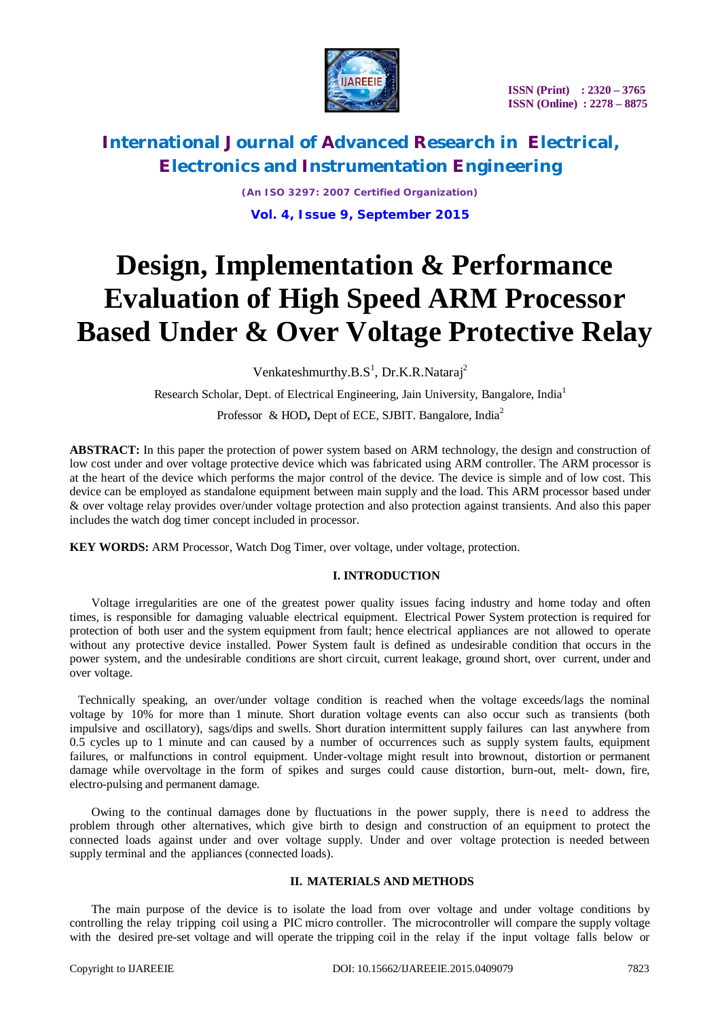

# **International Journal of Advanced Research in Electrical, Electronics and Instrumentation Engineering**

*(An ISO 3297: 2007 Certified Organization)* **Vol. 4, Issue 9, September 2015**

# **Design, Implementation & Performance Evaluation of High Speed ARM Processor Based Under & Over Voltage Protective Relay**

Venkateshmurthy.B.S<sup>1</sup>, Dr.K.R.Nataraj<sup>2</sup>

Research Scholar, Dept. of Electrical Engineering, Jain University, Bangalore, India<sup>1</sup>

Professor & HOD**,** Dept of ECE, SJBIT. Bangalore, India<sup>2</sup>

**ABSTRACT:** In this paper the protection of power system based on ARM technology, the design and construction of low cost under and over voltage protective device which was fabricated using ARM controller. The ARM processor is at the heart of the device which performs the major control of the device. The device is simple and of low cost. This device can be employed as standalone equipment between main supply and the load. This ARM processor based under & over voltage relay provides over/under voltage protection and also protection against transients. And also this paper includes the watch dog timer concept included in processor.

**KEY WORDS:** ARM Processor, Watch Dog Timer, over voltage, under voltage, protection.

## **I. INTRODUCTION**

Voltage irregularities are one of the greatest power quality issues facing industry and home today and often times, is responsible for damaging valuable electrical equipment. Electrical Power System protection is required for protection of both user and the system equipment from fault; hence electrical appliances are not allowed to operate without any protective device installed. Power System fault is defined as undesirable condition that occurs in the power system, and the undesirable conditions are short circuit, current leakage, ground short, over current, under and over voltage.

Technically speaking, an over/under voltage condition is reached when the voltage exceeds/lags the nominal voltage by 10% for more than 1 minute. Short duration voltage events can also occur such as transients (both impulsive and oscillatory), sags/dips and swells. Short duration intermittent supply failures can last anywhere from 0.5 cycles up to 1 minute and can caused by a number of occurrences such as supply system faults, equipment failures, or malfunctions in control equipment. Under-voltage might result into brownout, distortion or permanent damage while overvoltage in the form of spikes and surges could cause distortion, burn-out, melt- down, fire, electro-pulsing and permanent damage.

Owing to the continual damages done by fluctuations in the power supply, there is n eed to address the problem through other alternatives, which give birth to design and construction of an equipment to protect the connected loads against under and over voltage supply. Under and over voltage protection is needed between supply terminal and the appliances (connected loads).

### **II. MATERIALS AND METHODS**

The main purpose of the device is to isolate the load from over voltage and under voltage conditions by controlling the relay tripping coil using a PIC micro controller. The microcontroller will compare the supply voltage with the desired pre-set voltage and will operate the tripping coil in the relay if the input voltage falls below or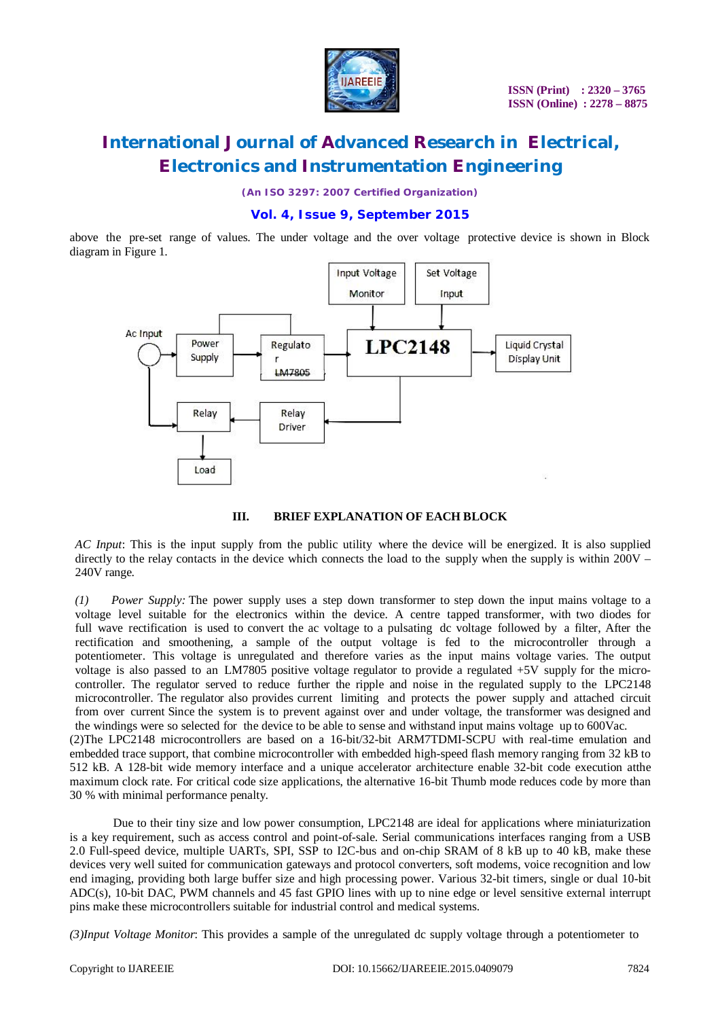

# **International Journal of Advanced Research in Electrical, Electronics and Instrumentation Engineering**

*(An ISO 3297: 2007 Certified Organization)*

### **Vol. 4, Issue 9, September 2015**

above the pre-set range of values. The under voltage and the over voltage protective device is shown in Block diagram in Figure 1.



#### **III. BRIEF EXPLANATION OF EACH BLOCK**

*AC Input*: This is the input supply from the public utility where the device will be energized. It is also supplied directly to the relay contacts in the device which connects the load to the supply when the supply is within  $200V -$ 240V range.

*(1) Power Supply:* The power supply uses a step down transformer to step down the input mains voltage to a voltage level suitable for the electronics within the device. A centre tapped transformer, with two diodes for full wave rectification is used to convert the ac voltage to a pulsating dc voltage followed by a filter, After the rectification and smoothening, a sample of the output voltage is fed to the microcontroller through a potentiometer. This voltage is unregulated and therefore varies as the input mains voltage varies. The output voltage is also passed to an LM7805 positive voltage regulator to provide a regulated +5V supply for the microcontroller. The regulator served to reduce further the ripple and noise in the regulated supply to the LPC2148 microcontroller. The regulator also provides current limiting and protects the power supply and attached circuit from over current Since the system is to prevent against over and under voltage, the transformer was designed and the windings were so selected for the device to be able to sense and withstand input mains voltage up to 600Vac.

(2)The LPC2148 microcontrollers are based on a 16-bit/32-bit ARM7TDMI-SCPU with real-time emulation and embedded trace support, that combine microcontroller with embedded high-speed flash memory ranging from 32 kB to 512 kB. A 128-bit wide memory interface and a unique accelerator architecture enable 32-bit code execution atthe maximum clock rate. For critical code size applications, the alternative 16-bit Thumb mode reduces code by more than 30 % with minimal performance penalty.

Due to their tiny size and low power consumption, LPC2148 are ideal for applications where miniaturization is a key requirement, such as access control and point-of-sale. Serial communications interfaces ranging from a USB 2.0 Full-speed device, multiple UARTs, SPI, SSP to I2C-bus and on-chip SRAM of 8 kB up to 40 kB, make these devices very well suited for communication gateways and protocol converters, soft modems, voice recognition and low end imaging, providing both large buffer size and high processing power. Various 32-bit timers, single or dual 10-bit ADC(s), 10-bit DAC, PWM channels and 45 fast GPIO lines with up to nine edge or level sensitive external interrupt pins make these microcontrollers suitable for industrial control and medical systems.

*(3)Input Voltage Monitor*: This provides a sample of the unregulated dc supply voltage through a potentiometer to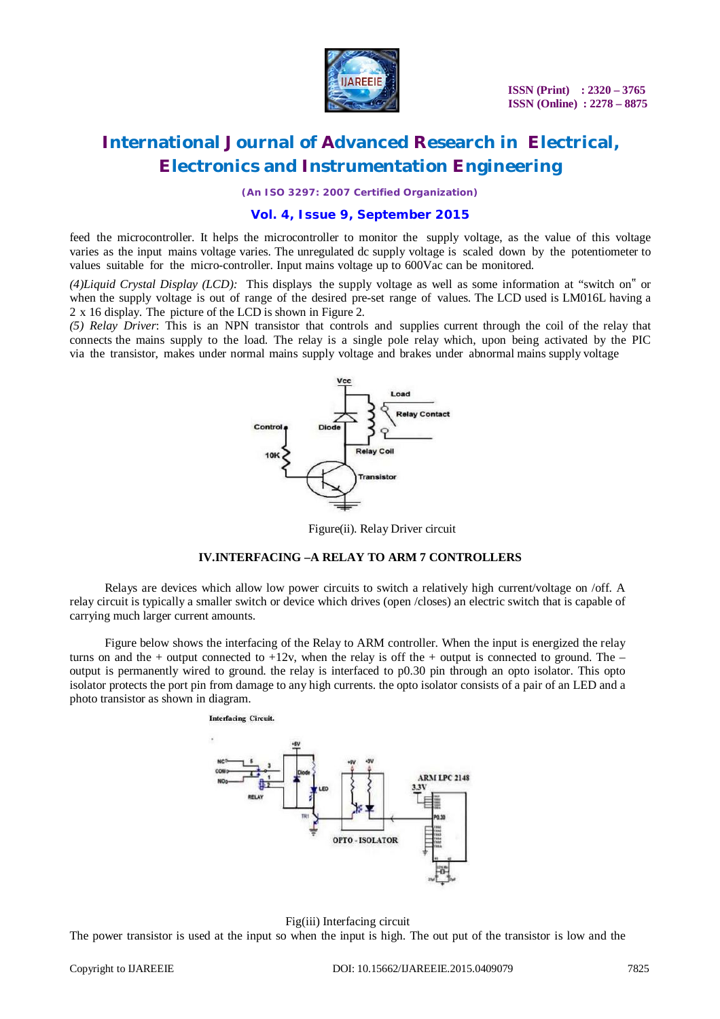

**ISSN (Print) : 2320 – 3765 ISSN (Online) : 2278 – 8875**

# **International Journal of Advanced Research in Electrical, Electronics and Instrumentation Engineering**

*(An ISO 3297: 2007 Certified Organization)*

### **Vol. 4, Issue 9, September 2015**

feed the microcontroller. It helps the microcontroller to monitor the supply voltage, as the value of this voltage varies as the input mains voltage varies. The unregulated dc supply voltage is scaled down by the potentiometer to values suitable for the micro-controller. Input mains voltage up to 600Vac can be monitored.

*(4)Liquid Crystal Display (LCD):* This displays the supply voltage as well as some information at "switch on" or when the supply voltage is out of range of the desired pre-set range of values. The LCD used is LM016L having a 2 x 16 display. The picture of the LCD is shown in Figure 2.

*(5) Relay Driver*: This is an NPN transistor that controls and supplies current through the coil of the relay that connects the mains supply to the load. The relay is a single pole relay which, upon being activated by the PIC via the transistor, makes under normal mains supply voltage and brakes under abnormal mains supply voltage



Figure(ii). Relay Driver circuit

#### **IV.INTERFACING –A RELAY TO ARM 7 CONTROLLERS**

Relays are devices which allow low power circuits to switch a relatively high current/voltage on /off. A relay circuit is typically a smaller switch or device which drives (open /closes) an electric switch that is capable of carrying much larger current amounts.

Figure below shows the interfacing of the Relay to ARM controller. When the input is energized the relay turns on and the + output connected to  $+12v$ , when the relay is off the + output is connected to ground. The – output is permanently wired to ground. the relay is interfaced to p0.30 pin through an opto isolator. This opto isolator protects the port pin from damage to any high currents. the opto isolator consists of a pair of an LED and a photo transistor as shown in diagram.

> **Interfacing Circuit. IRM LPC 2148** OPTO - ISOLATOR



Fig(iii) Interfacing circuit The power transistor is used at the input so when the input is high. The out put of the transistor is low and the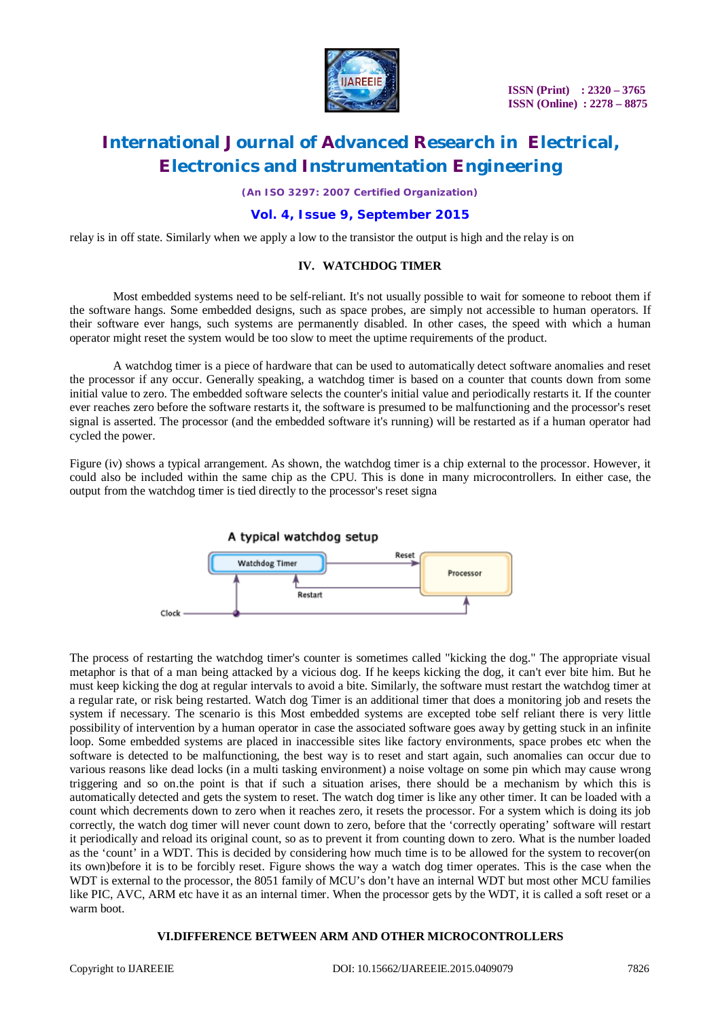

**ISSN (Print) : 2320 – 3765 ISSN (Online) : 2278 – 8875**

# **International Journal of Advanced Research in Electrical, Electronics and Instrumentation Engineering**

*(An ISO 3297: 2007 Certified Organization)*

### **Vol. 4, Issue 9, September 2015**

relay is in off state. Similarly when we apply a low to the transistor the output is high and the relay is on

#### **IV. WATCHDOG TIMER**

Most embedded systems need to be self-reliant. It's not usually possible to wait for someone to reboot them if the software hangs. Some embedded designs, such as space probes, are simply not accessible to human operators. If their software ever hangs, such systems are permanently disabled. In other cases, the speed with which a human operator might reset the system would be too slow to meet the uptime requirements of the product.

A watchdog timer is a piece of hardware that can be used to automatically detect software anomalies and reset the processor if any occur. Generally speaking, a watchdog timer is based on a counter that counts down from some initial value to zero. The embedded software selects the counter's initial value and periodically restarts it. If the counter ever reaches zero before the software restarts it, the software is presumed to be malfunctioning and the processor's reset signal is asserted. The processor (and the embedded software it's running) will be restarted as if a human operator had cycled the power.

Figure (iv) shows a typical arrangement. As shown, the watchdog timer is a chip external to the processor. However, it could also be included within the same chip as the CPU. This is done in many microcontrollers. In either case, the output from the watchdog timer is tied directly to the processor's reset signa



The process of restarting the watchdog timer's counter is sometimes called "kicking the dog." The appropriate visual metaphor is that of a man being attacked by a vicious dog. If he keeps kicking the dog, it can't ever bite him. But he must keep kicking the dog at regular intervals to avoid a bite. Similarly, the software must restart the watchdog timer at a regular rate, or risk being restarted. Watch dog Timer is an additional timer that does a monitoring job and resets the system if necessary. The scenario is this Most embedded systems are excepted tobe self reliant there is very little possibility of intervention by a human operator in case the associated software goes away by getting stuck in an infinite loop. Some embedded systems are placed in inaccessible sites like factory environments, space probes etc when the software is detected to be malfunctioning, the best way is to reset and start again, such anomalies can occur due to various reasons like dead locks (in a multi tasking environment) a noise voltage on some pin which may cause wrong triggering and so on.the point is that if such a situation arises, there should be a mechanism by which this is automatically detected and gets the system to reset. The watch dog timer is like any other timer. It can be loaded with a count which decrements down to zero when it reaches zero, it resets the processor. For a system which is doing its job correctly, the watch dog timer will never count down to zero, before that the 'correctly operating' software will restart it periodically and reload its original count, so as to prevent it from counting down to zero. What is the number loaded as the 'count' in a WDT. This is decided by considering how much time is to be allowed for the system to recover(on its own)before it is to be forcibly reset. Figure shows the way a watch dog timer operates. This is the case when the WDT is external to the processor, the 8051 family of MCU's don't have an internal WDT but most other MCU families like PIC, AVC, ARM etc have it as an internal timer. When the processor gets by the WDT, it is called a soft reset or a warm boot.

#### **VI.DIFFERENCE BETWEEN ARM AND OTHER MICROCONTROLLERS**